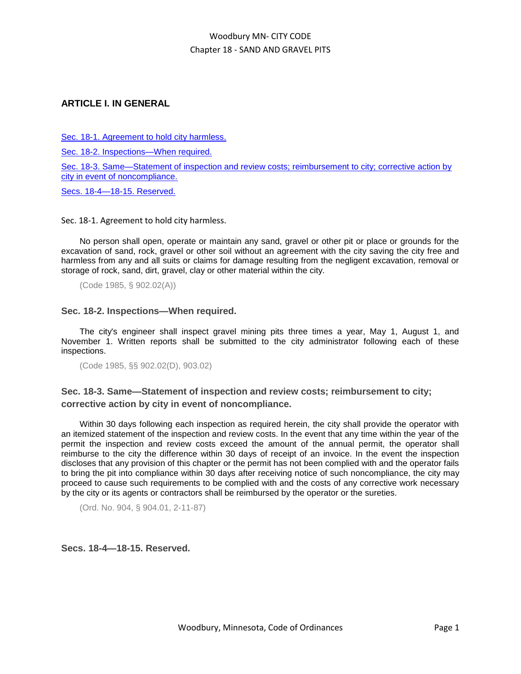# **ARTICLE I. IN GENERAL**

[Sec. 18-1. Agreement to hold city harmless.](file:///C:/Users/jsmyser/AppData/Local/Microsoft/Windows/Temporary%20Internet%20Files/Content.IE5/2VS9HLNU/ARTICLE_I._IN_GENERAL.docx%23BK_C7C7036666AF00299FB8AC4844F15DF9)

[Sec. 18-2. Inspections—When required.](file:///C:/Users/jsmyser/AppData/Local/Microsoft/Windows/Temporary%20Internet%20Files/Content.IE5/2VS9HLNU/ARTICLE_I._IN_GENERAL.docx%23BK_588586322D5EE756DEB2EF8657C82D4B)

[Sec. 18-3. Same—Statement of inspection and review costs;](file:///C:/Users/jsmyser/AppData/Local/Microsoft/Windows/Temporary%20Internet%20Files/Content.IE5/2VS9HLNU/ARTICLE_I._IN_GENERAL.docx%23BK_609892927085E411DC7B35941098DBBA) reimbursement to city; corrective action by [city in event of noncompliance.](file:///C:/Users/jsmyser/AppData/Local/Microsoft/Windows/Temporary%20Internet%20Files/Content.IE5/2VS9HLNU/ARTICLE_I._IN_GENERAL.docx%23BK_609892927085E411DC7B35941098DBBA)

[Secs. 18-4—18-15. Reserved.](file:///C:/Users/jsmyser/AppData/Local/Microsoft/Windows/Temporary%20Internet%20Files/Content.IE5/2VS9HLNU/ARTICLE_I._IN_GENERAL.docx%23BK_D8E266089BA79C73D63AFA2EC42C6C9D)

Sec. 18-1. Agreement to hold city harmless.

No person shall open, operate or maintain any sand, gravel or other pit or place or grounds for the excavation of sand, rock, gravel or other soil without an agreement with the city saving the city free and harmless from any and all suits or claims for damage resulting from the negligent excavation, removal or storage of rock, sand, dirt, gravel, clay or other material within the city.

(Code 1985, § 902.02(A))

### **Sec. 18-2. Inspections—When required.**

The city's engineer shall inspect gravel mining pits three times a year, May 1, August 1, and November 1. Written reports shall be submitted to the city administrator following each of these inspections.

(Code 1985, §§ 902.02(D), 903.02)

# **Sec. 18-3. Same—Statement of inspection and review costs; reimbursement to city; corrective action by city in event of noncompliance.**

Within 30 days following each inspection as required herein, the city shall provide the operator with an itemized statement of the inspection and review costs. In the event that any time within the year of the permit the inspection and review costs exceed the amount of the annual permit, the operator shall reimburse to the city the difference within 30 days of receipt of an invoice. In the event the inspection discloses that any provision of this chapter or the permit has not been complied with and the operator fails to bring the pit into compliance within 30 days after receiving notice of such noncompliance, the city may proceed to cause such requirements to be complied with and the costs of any corrective work necessary by the city or its agents or contractors shall be reimbursed by the operator or the sureties.

(Ord. No. 904, § 904.01, 2-11-87)

### **Secs. 18-4—18-15. Reserved.**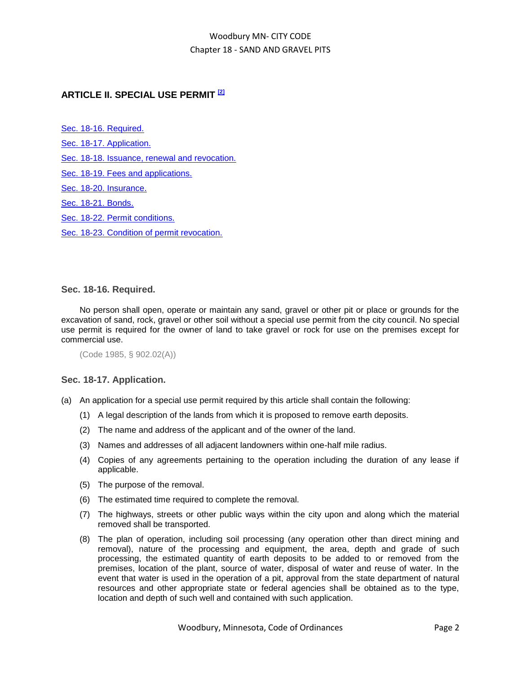# **ARTICLE II. SPECIAL USE PERMIT [2]**

[Sec. 18-16. Required.](#page-1-0) [Sec. 18-17. Application.](#page-1-1)

[Sec. 18-18. Issuance, renewal and revocation.](#page-2-0)

[Sec. 18-19. Fees and applications.](#page-2-1)

[Sec. 18-20. Insurance.](#page-3-0)

[Sec. 18-21. Bonds.](#page-3-1)

[Sec. 18-22. Permit conditions.](#page-4-0)

[Sec. 18-23. Condition of permit revocation.](#page-6-0)

### <span id="page-1-0"></span>**Sec. 18-16. Required.**

No person shall open, operate or maintain any sand, gravel or other pit or place or grounds for the excavation of sand, rock, gravel or other soil without a special use permit from the city council. No special use permit is required for the owner of land to take gravel or rock for use on the premises except for commercial use.

```
(Code 1985, § 902.02(A))
```
### <span id="page-1-1"></span>**Sec. 18-17. Application.**

- (a) An application for a special use permit required by this article shall contain the following:
	- (1) A legal description of the lands from which it is proposed to remove earth deposits.
	- (2) The name and address of the applicant and of the owner of the land.
	- (3) Names and addresses of all adjacent landowners within one-half mile radius.
	- (4) Copies of any agreements pertaining to the operation including the duration of any lease if applicable.
	- (5) The purpose of the removal.
	- (6) The estimated time required to complete the removal.
	- (7) The highways, streets or other public ways within the city upon and along which the material removed shall be transported.
	- (8) The plan of operation, including soil processing (any operation other than direct mining and removal), nature of the processing and equipment, the area, depth and grade of such processing, the estimated quantity of earth deposits to be added to or removed from the premises, location of the plant, source of water, disposal of water and reuse of water. In the event that water is used in the operation of a pit, approval from the state department of natural resources and other appropriate state or federal agencies shall be obtained as to the type, location and depth of such well and contained with such application.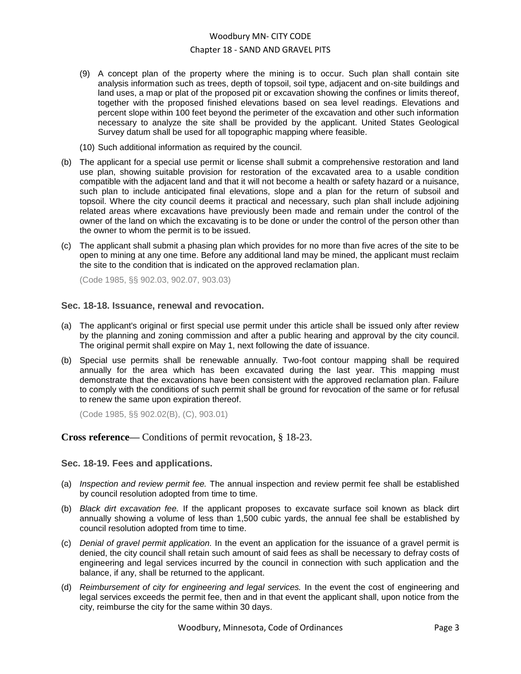- (9) A concept plan of the property where the mining is to occur. Such plan shall contain site analysis information such as trees, depth of topsoil, soil type, adjacent and on-site buildings and land uses, a map or plat of the proposed pit or excavation showing the confines or limits thereof, together with the proposed finished elevations based on sea level readings. Elevations and percent slope within 100 feet beyond the perimeter of the excavation and other such information necessary to analyze the site shall be provided by the applicant. United States Geological Survey datum shall be used for all topographic mapping where feasible.
- (10) Such additional information as required by the council.
- (b) The applicant for a special use permit or license shall submit a comprehensive restoration and land use plan, showing suitable provision for restoration of the excavated area to a usable condition compatible with the adjacent land and that it will not become a health or safety hazard or a nuisance, such plan to include anticipated final elevations, slope and a plan for the return of subsoil and topsoil. Where the city council deems it practical and necessary, such plan shall include adjoining related areas where excavations have previously been made and remain under the control of the owner of the land on which the excavating is to be done or under the control of the person other than the owner to whom the permit is to be issued.
- (c) The applicant shall submit a phasing plan which provides for no more than five acres of the site to be open to mining at any one time. Before any additional land may be mined, the applicant must reclaim the site to the condition that is indicated on the approved reclamation plan.

(Code 1985, §§ 902.03, 902.07, 903.03)

#### <span id="page-2-0"></span>**Sec. 18-18. Issuance, renewal and revocation.**

- (a) The applicant's original or first special use permit under this article shall be issued only after review by the planning and zoning commission and after a public hearing and approval by the city council. The original permit shall expire on May 1, next following the date of issuance.
- (b) Special use permits shall be renewable annually. Two-foot contour mapping shall be required annually for the area which has been excavated during the last year. This mapping must demonstrate that the excavations have been consistent with the approved reclamation plan. Failure to comply with the conditions of such permit shall be ground for revocation of the same or for refusal to renew the same upon expiration thereof.

(Code 1985, §§ 902.02(B), (C), 903.01)

### **Cross reference—** Conditions of permit revocation, § 18-23.

### <span id="page-2-1"></span>**Sec. 18-19. Fees and applications.**

- (a) *Inspection and review permit fee.* The annual inspection and review permit fee shall be established by council resolution adopted from time to time.
- (b) *Black dirt excavation fee.* If the applicant proposes to excavate surface soil known as black dirt annually showing a volume of less than 1,500 cubic yards, the annual fee shall be established by council resolution adopted from time to time.
- (c) *Denial of gravel permit application.* In the event an application for the issuance of a gravel permit is denied, the city council shall retain such amount of said fees as shall be necessary to defray costs of engineering and legal services incurred by the council in connection with such application and the balance, if any, shall be returned to the applicant.
- (d) *Reimbursement of city for engineering and legal services.* In the event the cost of engineering and legal services exceeds the permit fee, then and in that event the applicant shall, upon notice from the city, reimburse the city for the same within 30 days.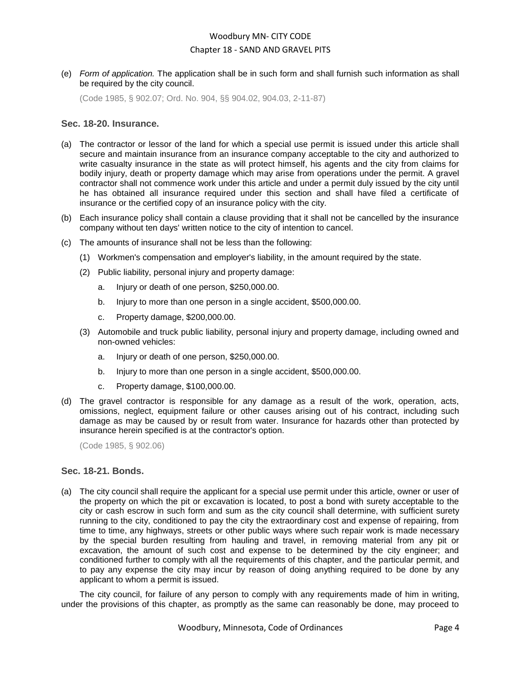(e) *Form of application.* The application shall be in such form and shall furnish such information as shall be required by the city council.

(Code 1985, § 902.07; Ord. No. 904, §§ 904.02, 904.03, 2-11-87)

#### <span id="page-3-0"></span>**Sec. 18-20. Insurance.**

- (a) The contractor or lessor of the land for which a special use permit is issued under this article shall secure and maintain insurance from an insurance company acceptable to the city and authorized to write casualty insurance in the state as will protect himself, his agents and the city from claims for bodily injury, death or property damage which may arise from operations under the permit. A gravel contractor shall not commence work under this article and under a permit duly issued by the city until he has obtained all insurance required under this section and shall have filed a certificate of insurance or the certified copy of an insurance policy with the city.
- (b) Each insurance policy shall contain a clause providing that it shall not be cancelled by the insurance company without ten days' written notice to the city of intention to cancel.
- (c) The amounts of insurance shall not be less than the following:
	- (1) Workmen's compensation and employer's liability, in the amount required by the state.
	- (2) Public liability, personal injury and property damage:
		- a. Injury or death of one person, \$250,000.00.
		- b. Injury to more than one person in a single accident, \$500,000.00.
		- c. Property damage, \$200,000.00.
	- (3) Automobile and truck public liability, personal injury and property damage, including owned and non-owned vehicles:
		- a. Injury or death of one person, \$250,000.00.
		- b. Injury to more than one person in a single accident, \$500,000.00.
		- c. Property damage, \$100,000.00.
- (d) The gravel contractor is responsible for any damage as a result of the work, operation, acts, omissions, neglect, equipment failure or other causes arising out of his contract, including such damage as may be caused by or result from water. Insurance for hazards other than protected by insurance herein specified is at the contractor's option.

(Code 1985, § 902.06)

### <span id="page-3-1"></span>**Sec. 18-21. Bonds.**

(a) The city council shall require the applicant for a special use permit under this article, owner or user of the property on which the pit or excavation is located, to post a bond with surety acceptable to the city or cash escrow in such form and sum as the city council shall determine, with sufficient surety running to the city, conditioned to pay the city the extraordinary cost and expense of repairing, from time to time, any highways, streets or other public ways where such repair work is made necessary by the special burden resulting from hauling and travel, in removing material from any pit or excavation, the amount of such cost and expense to be determined by the city engineer; and conditioned further to comply with all the requirements of this chapter, and the particular permit, and to pay any expense the city may incur by reason of doing anything required to be done by any applicant to whom a permit is issued.

The city council, for failure of any person to comply with any requirements made of him in writing, under the provisions of this chapter, as promptly as the same can reasonably be done, may proceed to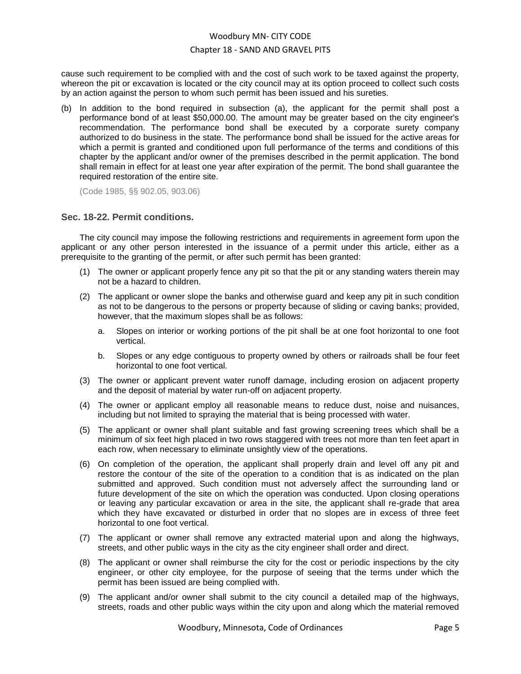cause such requirement to be complied with and the cost of such work to be taxed against the property, whereon the pit or excavation is located or the city council may at its option proceed to collect such costs by an action against the person to whom such permit has been issued and his sureties.

(b) In addition to the bond required in subsection (a), the applicant for the permit shall post a performance bond of at least \$50,000.00. The amount may be greater based on the city engineer's recommendation. The performance bond shall be executed by a corporate surety company authorized to do business in the state. The performance bond shall be issued for the active areas for which a permit is granted and conditioned upon full performance of the terms and conditions of this chapter by the applicant and/or owner of the premises described in the permit application. The bond shall remain in effect for at least one year after expiration of the permit. The bond shall guarantee the required restoration of the entire site.

(Code 1985, §§ 902.05, 903.06)

### <span id="page-4-0"></span>**Sec. 18-22. Permit conditions.**

The city council may impose the following restrictions and requirements in agreement form upon the applicant or any other person interested in the issuance of a permit under this article, either as a prerequisite to the granting of the permit, or after such permit has been granted:

- (1) The owner or applicant properly fence any pit so that the pit or any standing waters therein may not be a hazard to children.
- (2) The applicant or owner slope the banks and otherwise guard and keep any pit in such condition as not to be dangerous to the persons or property because of sliding or caving banks; provided, however, that the maximum slopes shall be as follows:
	- a. Slopes on interior or working portions of the pit shall be at one foot horizontal to one foot vertical.
	- b. Slopes or any edge contiguous to property owned by others or railroads shall be four feet horizontal to one foot vertical.
- (3) The owner or applicant prevent water runoff damage, including erosion on adjacent property and the deposit of material by water run-off on adjacent property.
- (4) The owner or applicant employ all reasonable means to reduce dust, noise and nuisances, including but not limited to spraying the material that is being processed with water.
- (5) The applicant or owner shall plant suitable and fast growing screening trees which shall be a minimum of six feet high placed in two rows staggered with trees not more than ten feet apart in each row, when necessary to eliminate unsightly view of the operations.
- (6) On completion of the operation, the applicant shall properly drain and level off any pit and restore the contour of the site of the operation to a condition that is as indicated on the plan submitted and approved. Such condition must not adversely affect the surrounding land or future development of the site on which the operation was conducted. Upon closing operations or leaving any particular excavation or area in the site, the applicant shall re-grade that area which they have excavated or disturbed in order that no slopes are in excess of three feet horizontal to one foot vertical.
- (7) The applicant or owner shall remove any extracted material upon and along the highways, streets, and other public ways in the city as the city engineer shall order and direct.
- (8) The applicant or owner shall reimburse the city for the cost or periodic inspections by the city engineer, or other city employee, for the purpose of seeing that the terms under which the permit has been issued are being complied with.
- (9) The applicant and/or owner shall submit to the city council a detailed map of the highways, streets, roads and other public ways within the city upon and along which the material removed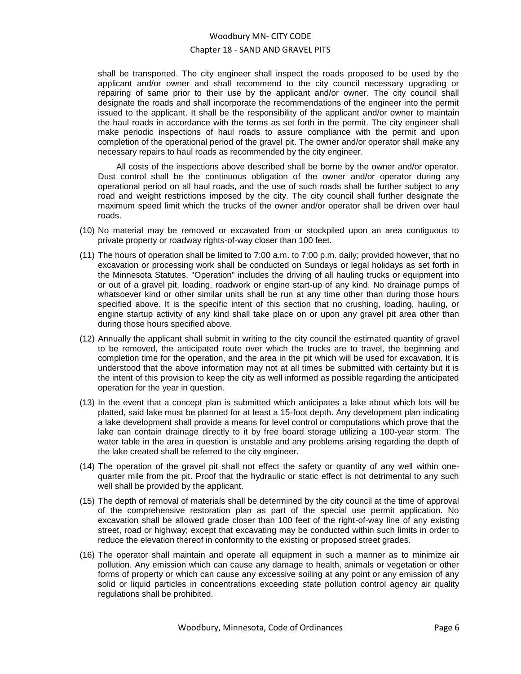shall be transported. The city engineer shall inspect the roads proposed to be used by the applicant and/or owner and shall recommend to the city council necessary upgrading or repairing of same prior to their use by the applicant and/or owner. The city council shall designate the roads and shall incorporate the recommendations of the engineer into the permit issued to the applicant. It shall be the responsibility of the applicant and/or owner to maintain the haul roads in accordance with the terms as set forth in the permit. The city engineer shall make periodic inspections of haul roads to assure compliance with the permit and upon completion of the operational period of the gravel pit. The owner and/or operator shall make any necessary repairs to haul roads as recommended by the city engineer.

All costs of the inspections above described shall be borne by the owner and/or operator. Dust control shall be the continuous obligation of the owner and/or operator during any operational period on all haul roads, and the use of such roads shall be further subject to any road and weight restrictions imposed by the city. The city council shall further designate the maximum speed limit which the trucks of the owner and/or operator shall be driven over haul roads.

- (10) No material may be removed or excavated from or stockpiled upon an area contiguous to private property or roadway rights-of-way closer than 100 feet.
- (11) The hours of operation shall be limited to 7:00 a.m. to 7:00 p.m. daily; provided however, that no excavation or processing work shall be conducted on Sundays or legal holidays as set forth in the Minnesota Statutes. "Operation" includes the driving of all hauling trucks or equipment into or out of a gravel pit, loading, roadwork or engine start-up of any kind. No drainage pumps of whatsoever kind or other similar units shall be run at any time other than during those hours specified above. It is the specific intent of this section that no crushing, loading, hauling, or engine startup activity of any kind shall take place on or upon any gravel pit area other than during those hours specified above.
- (12) Annually the applicant shall submit in writing to the city council the estimated quantity of gravel to be removed, the anticipated route over which the trucks are to travel, the beginning and completion time for the operation, and the area in the pit which will be used for excavation. It is understood that the above information may not at all times be submitted with certainty but it is the intent of this provision to keep the city as well informed as possible regarding the anticipated operation for the year in question.
- (13) In the event that a concept plan is submitted which anticipates a lake about which lots will be platted, said lake must be planned for at least a 15-foot depth. Any development plan indicating a lake development shall provide a means for level control or computations which prove that the lake can contain drainage directly to it by free board storage utilizing a 100-year storm. The water table in the area in question is unstable and any problems arising regarding the depth of the lake created shall be referred to the city engineer.
- (14) The operation of the gravel pit shall not effect the safety or quantity of any well within onequarter mile from the pit. Proof that the hydraulic or static effect is not detrimental to any such well shall be provided by the applicant.
- (15) The depth of removal of materials shall be determined by the city council at the time of approval of the comprehensive restoration plan as part of the special use permit application. No excavation shall be allowed grade closer than 100 feet of the right-of-way line of any existing street, road or highway; except that excavating may be conducted within such limits in order to reduce the elevation thereof in conformity to the existing or proposed street grades.
- (16) The operator shall maintain and operate all equipment in such a manner as to minimize air pollution. Any emission which can cause any damage to health, animals or vegetation or other forms of property or which can cause any excessive soiling at any point or any emission of any solid or liquid particles in concentrations exceeding state pollution control agency air quality regulations shall be prohibited.